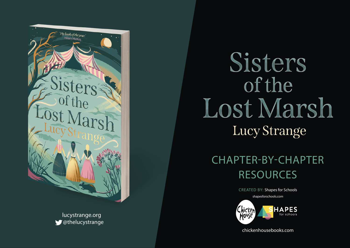

lucystrange.org @thelucystrange

## Sisters of the Lost Marsh Lucy Strange

## CHAPTER-BY-CHAPTER RESOURCES

CREATED BY: Shapes for Schools

shapesforschools.com



chickenhousebooks.com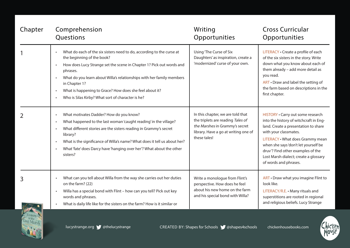| Chapter | Comprehension<br>Questions                                                                                                                                                                                                                                                                                                                                                                                                                                         | Writing<br>Opportunities                                                                                                                                         | <b>Cross Curricular</b><br>Opportunities                                                                                                                                                                                                                                                                                        |
|---------|--------------------------------------------------------------------------------------------------------------------------------------------------------------------------------------------------------------------------------------------------------------------------------------------------------------------------------------------------------------------------------------------------------------------------------------------------------------------|------------------------------------------------------------------------------------------------------------------------------------------------------------------|---------------------------------------------------------------------------------------------------------------------------------------------------------------------------------------------------------------------------------------------------------------------------------------------------------------------------------|
|         | What do each of the six sisters need to do, according to the curse at<br>$\bullet$<br>the beginning of the book?<br>How does Lucy Strange set the scene in Chapter 1? Pick out words and<br>$\bullet$<br>phrases.<br>What do you learn about Willa's relationships with her family members<br>$\bullet$<br>in Chapter 1?<br>What is happening to Grace? How does she feel about it?<br>$\bullet$<br>Who is Silas Kirby? What sort of character is he?<br>$\bullet$ | Using 'The Curse of Six<br>Daughters' as inspiration, create a<br>'modernized' curse of your own.                                                                | LITERACY . Create a profile of each<br>of the six sisters in the story. Write<br>down what you know about each of<br>them already - add more detail as<br>you read.<br>ART . Draw and label the setting of<br>the farm based on descriptions in the<br>first chapter.                                                           |
|         | What motivates Dadder? How do you know?<br>$\bullet$<br>What happened to the last woman 'caught reading' in the village?<br>$\bullet$<br>What different stories are the sisters reading in Grammy's secret<br>$\bullet$<br>library?<br>What is the significance of Willa's name? What does it tell us about her?<br>$\bullet$<br>What 'fate' does Darcy have 'hanging over her'? What about the other<br>sisters?                                                  | In this chapter, we are told that<br>the triplets are reading Tales of<br>the Marshes in Grammy's secret<br>library. Have a go at writing one of<br>these tales! | HISTORY . Carry out some research<br>into the history of witchcraft in Eng-<br>land. Create a presentation to share<br>with your classmates.<br>LITERACY . What does Grammy mean<br>when she says 'don't let yourself be<br>druv'? Find other examples of the<br>Lost Marsh dialect; create a glossary<br>of words and phrases. |
| 3       | What can you tell about Willa from the way she carries out her duties<br>$\bullet$<br>on the farm? (22)<br>Willa has a special bond with Flint - how can you tell? Pick out key<br>$\bullet$<br>words and phrases.<br>What is daily life like for the sisters on the farm? How is it similar or<br>$\bullet$                                                                                                                                                       | Write a monologue from Flint's<br>perspective. How does he feel<br>about his new home on the farm<br>and his special bond with Willa?                            | ART • Draw what you imagine Flint to<br>look like.<br>LITERACY/R.E. • Many rituals and<br>superstitions are rooted in regional<br>and religious beliefs. Lucy Strange                                                                                                                                                           |



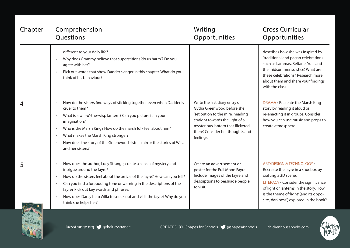| Chapter | Comprehension<br>Questions                                                                                                                                                                                                                                                                                                                                                                                                                       | Writing<br>Opportunities                                                                                                                                                                                                  | <b>Cross Curricular</b><br>Opportunities                                                                                                                                                                                                                                  |
|---------|--------------------------------------------------------------------------------------------------------------------------------------------------------------------------------------------------------------------------------------------------------------------------------------------------------------------------------------------------------------------------------------------------------------------------------------------------|---------------------------------------------------------------------------------------------------------------------------------------------------------------------------------------------------------------------------|---------------------------------------------------------------------------------------------------------------------------------------------------------------------------------------------------------------------------------------------------------------------------|
|         | different to your daily life?<br>Why does Grammy believe that superstitions 'do us harm'? Do you<br>$\bullet$<br>agree with her?<br>Pick out words that show Dadder's anger in this chapter. What do you<br>$\bullet$<br>think of his behaviour?                                                                                                                                                                                                 |                                                                                                                                                                                                                           | describes how she was inspired by<br>'traditional and pagan celebrations<br>such as Lammas, Beltane, Yule and<br>the midsummer solstice'. What are<br>these celebrations? Research more<br>about them and share your findings<br>with the class.                          |
|         | How do the sisters find ways of sticking together even when Dadder is<br>$\bullet$<br>cruel to them?<br>What is a will-o'-the-wisp lantern? Can you picture it in your<br>$\bullet$<br>imagination?<br>Who is the Marsh King? How do the marsh folk feel about him?<br>$\bullet$<br>What makes the Marsh King stronger?<br>$\bullet$<br>How does the story of the Greenwood sisters mirror the stories of Willa<br>$\bullet$<br>and her sisters? | Write the last diary entry of<br>Gytha Greenwood before she<br>'set out on to the mire, heading<br>straight towards the light of a<br>mysterious lantern that flickered<br>there'. Consider her thoughts and<br>feelings. | DRAMA . Recreate the Marsh King<br>story by reading it aloud or<br>re-enacting it in groups. Consider<br>how you can use music and props to<br>create atmosphere.                                                                                                         |
|         | How does the author, Lucy Strange, create a sense of mystery and<br>$\bullet$<br>intrigue around the fayre?<br>How do the sisters feel about the arrival of the fayre? How can you tell?<br>$\bullet$<br>Can you find a foreboding tone or warning in the descriptions of the<br>$\bullet$<br>fayre? Pick out key words and phrases.<br>How does Darcy help Willa to sneak out and visit the fayre? Why do you<br>think she helps her?           | Create an advertisement or<br>poster for the Full Moon Fayre.<br>Include images of the fayre and<br>descriptions to persuade people<br>to visit.                                                                          | <b>ART/DESIGN &amp; TECHNOLOGY •</b><br>Recreate the fayre in a shoebox by<br>crafting a 3D scene.<br>LITERACY . Consider the significance<br>of light or lanterns in the story. How<br>is the theme of 'light' (and its oppo-<br>site, 'darkness') explored in the book? |



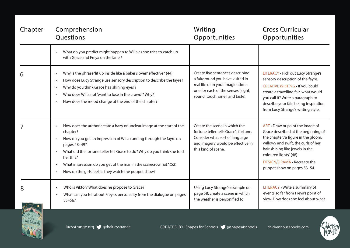| Chapter | Comprehension<br>Questions                                                                                                                                                                                                                                                                                                                                                                                                                                    | Writing<br>Opportunities                                                                                                                                                            | <b>Cross Curricular</b><br>Opportunities                                                                                                                                                                                                                                          |
|---------|---------------------------------------------------------------------------------------------------------------------------------------------------------------------------------------------------------------------------------------------------------------------------------------------------------------------------------------------------------------------------------------------------------------------------------------------------------------|-------------------------------------------------------------------------------------------------------------------------------------------------------------------------------------|-----------------------------------------------------------------------------------------------------------------------------------------------------------------------------------------------------------------------------------------------------------------------------------|
|         | What do you predict might happen to Willa as she tries to 'catch up<br>with Grace and Freya on the lane'?                                                                                                                                                                                                                                                                                                                                                     |                                                                                                                                                                                     |                                                                                                                                                                                                                                                                                   |
| 6       | Why is the phrase 'lit up inside like a baker's oven' effective? (44)<br>$\bullet$<br>How does Lucy Strange use sensory description to describe the fayre?<br>$\bullet$<br>Why do you think Grace has 'shining eyes'?<br>$\bullet$<br>Who does Willa not 'want to lose in the crowd'? Why?<br>$\bullet$<br>How does the mood change at the end of the chapter?<br>$\bullet$                                                                                   | Create five sentences describing<br>a fairground you have visited in<br>real life or in your imagination -<br>one for each of the senses (sight,<br>sound, touch, smell and taste). | LITERACY . Pick out Lucy Strange's<br>sensory description of the fayre.<br><b>CREATIVE WRITING . If you could</b><br>create a travelling fair, what would<br>you call it? Write a paragraph to<br>describe your fair, taking inspiration<br>from Lucy Strange's writing style.    |
|         | How does the author create a hazy or unclear image at the start of the<br>$\bullet$<br>chapter?<br>How do you get an impression of Willa running through the fayre on<br>$\bullet$<br>pages 48-49?<br>What did the fortune teller tell Grace to do? Why do you think she told<br>$\bullet$<br>her this?<br>What impression do you get of the man in the scarecrow hat? (52)<br>$\bullet$<br>How do the girls feel as they watch the puppet show?<br>$\bullet$ | Create the scene in which the<br>fortune teller tells Grace's fortune.<br>Consider what sort of language<br>and imagery would be effective in<br>this kind of scene.                | ART • Draw or paint the image of<br>Grace described at the beginning of<br>the chapter: 'a figure in the gloom,<br>willowy and swift, the curls of her<br>hair shining like jewels in the<br>coloured lights'. (48)<br>DESIGN/DRAMA . Recreate the<br>puppet show on pages 53-54. |
| 8       | Who is Viktor? What does he propose to Grace?<br>$\bullet$<br>What can you tell about Freya's personality from the dialogue on pages<br>$55 - 56?$                                                                                                                                                                                                                                                                                                            | Using Lucy Strange's example on<br>page 58, create a scene in which<br>the weather is personified to                                                                                | LITERACY . Write a summary of<br>events so far from Freya's point of<br>view. How does she feel about what                                                                                                                                                                        |



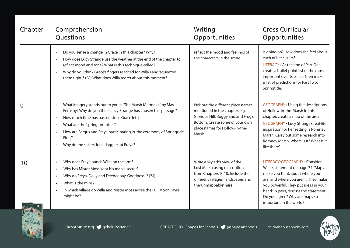| Chapter | Comprehension<br>Questions                                                                                                                                                                                                                                                                                                                                                     | Writing<br>Opportunities                                                                                                                                                                   | <b>Cross Curricular</b><br>Opportunities                                                                                                                                                                                                                                                          |
|---------|--------------------------------------------------------------------------------------------------------------------------------------------------------------------------------------------------------------------------------------------------------------------------------------------------------------------------------------------------------------------------------|--------------------------------------------------------------------------------------------------------------------------------------------------------------------------------------------|---------------------------------------------------------------------------------------------------------------------------------------------------------------------------------------------------------------------------------------------------------------------------------------------------|
|         | Do you sense a change in Grace in this chapter? Why?<br>$\bullet$<br>How does Lucy Strange use the weather at the end of the chapter to<br>$\bullet$<br>reflect mood and tone? What is this technique called?<br>Why do you think Grace's fingers reached for Willa's and 'squeezed<br>$\bullet$<br>them tight'? (58) What does Willa regret about this moment?                | reflect the mood and feelings of<br>the characters in the scene.                                                                                                                           | is going on? How does she feel about<br>each of her sisters?<br>LITERACY . At the end of Part One,<br>create a bullet point list of the most<br>important events so far. Then make<br>a list of predictions for Part Two:<br>Springtide.                                                          |
| 9       | What imagery stands out to you in 'The Marsh Mermaids' by May<br>Fernsby? Why do you think Lucy Strange has chosen this passage?<br>How much time has passed since Grace left?<br>$\bullet$<br>What are the 'spring promises'?<br>$\bullet$<br>How are Fergus and Freya participating in 'the ceremony of Springtide<br>Fires'?<br>Why do the sisters 'look daggers' at Freya? | Pick out the different place names<br>mentioned in the chapter, e.g.<br>Glorious Hill, Boggy End and Frog's<br>Bottom. Create some of your own<br>place names for Hollow-in-the-<br>Marsh. | <b>GEOGRAPHY . Using the descriptions</b><br>of Hollow-in-the-Marsh in this<br>chapter, create a map of the area.<br>GEOGRAPHY . Lucy Strange's real-life<br>inspiration for her setting is Romney<br>Marsh. Carry out some research into<br>Romney Marsh. Where is it? What is it<br>like there? |
| 10      | Why does Freya punch Willa on the arm?<br>$\bullet$<br>Why has Mister Moss kept his map a secret?<br>$\bullet$<br>Why do Freya, Dolly and Deedee say 'Goodness!'? (74)<br>$\bullet$<br>What is 'the mire'?<br>$\bullet$<br>In which village do Willa and Mister Moss agree the Full Moon Fayre<br>$\bullet$<br>might be?                                                       | Write a skylark's view of the<br>Lost Marsh using descriptions<br>from Chapters 9-10. Include the<br>different villages, landscapes and<br>the 'unmappable' mire.                          | LITERACY/GEOGRAPHY · Consider<br>Willa's statement on page 74: 'Maps<br>make you think about where you<br>are, and where you aren't. They make<br>you powerful. They put ideas in your<br>head.' In pairs, discuss the statement.<br>Do you agree? Why are maps so<br>important in the world?     |



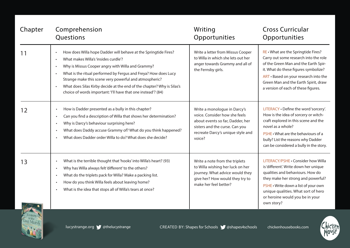| Chapter | Comprehension<br>Questions                                                                                                                                                                                                                                                                                                                                                                                                                                                  | Writing<br>Opportunities                                                                                                                                                           | <b>Cross Curricular</b><br>Opportunities                                                                                                                                                                                                                                              |
|---------|-----------------------------------------------------------------------------------------------------------------------------------------------------------------------------------------------------------------------------------------------------------------------------------------------------------------------------------------------------------------------------------------------------------------------------------------------------------------------------|------------------------------------------------------------------------------------------------------------------------------------------------------------------------------------|---------------------------------------------------------------------------------------------------------------------------------------------------------------------------------------------------------------------------------------------------------------------------------------|
| 11      | How does Willa hope Dadder will behave at the Springtide Fires?<br>$\bullet$<br>What makes Willa's 'insides curdle'?<br>$\bullet$<br>Why is Missus Cooper angry with Willa and Grammy?<br>What is the ritual performed by Fergus and Freya? How does Lucy<br>Strange make this scene very powerful and atmospheric?<br>What does Silas Kirby decide at the end of the chapter? Why is Silas's<br>$\bullet$<br>choice of words important: 'I'll have that one instead'? (84) | Write a letter from Missus Cooper<br>to Willa in which she lets out her<br>anger towards Grammy and all of<br>the Fernsby girls.                                                   | RE • What are the Springtide Fires?<br>Carry out some research into the role<br>of the Green Man and the Earth Spir-<br>it. What do these figures symbolize?<br>ART · Based on your research into the<br>Green Man and the Earth Spirit, draw<br>a version of each of these figures.  |
| 12      | How is Dadder presented as a bully in this chapter?<br>Can you find a description of Willa that shows her determination?<br>Why is Darcy's behaviour surprising here?<br>$\bullet$<br>What does Daddy accuse Grammy of? What do you think happened?<br>$\bullet$<br>What does Dadder order Willa to do? What does she decide?                                                                                                                                               | Write a monologue in Darcy's<br>voice. Consider how she feels<br>about events so far, Dadder, her<br>sisters and the curse. Can you<br>recreate Darcy's unique style and<br>voice? | LITERACY . Define the word 'sorcery'.<br>How is the idea of sorcery or witch-<br>craft explored in this scene and the<br>novel as a whole?<br>PSHE • What are the behaviours of a<br>bully? List the reasons why Dadder<br>can be considered a bully in the story.                    |
| 13      | What is the terrible thought that 'hooks' into Willa's heart? (93)<br>Why has Willa always felt 'different' to the others?<br>$\bullet$<br>What do the triplets pack for Willa? Make a packing list.<br>$\bullet$<br>How do you think Willa feels about leaving home?<br>$\bullet$<br>What is the idea that stops all of Willa's tears at once?<br>$\bullet$                                                                                                                | Write a note from the triplets<br>to Willa wishing her luck on her<br>journey. What advice would they<br>give her? How would they try to<br>make her feel better?                  | LITERACY/PSHE . Consider how Willa<br>is 'different'. Write down her unique<br>qualities and behaviours. How do<br>they make her strong and powerful?<br>PSHE . Write down a list of your own<br>unique qualities. What sort of hero<br>or heroine would you be in your<br>own story? |



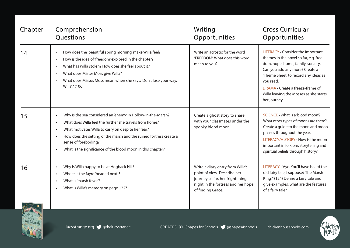| Chapter | Comprehension                                                                                                                                                                                                                                                                                                                                                        | Writing                                                                               | <b>Cross Curricular</b>                                                                                                                                                                                                                                                                               |
|---------|----------------------------------------------------------------------------------------------------------------------------------------------------------------------------------------------------------------------------------------------------------------------------------------------------------------------------------------------------------------------|---------------------------------------------------------------------------------------|-------------------------------------------------------------------------------------------------------------------------------------------------------------------------------------------------------------------------------------------------------------------------------------------------------|
|         | Questions                                                                                                                                                                                                                                                                                                                                                            | Opportunities                                                                         | Opportunities                                                                                                                                                                                                                                                                                         |
| 14      | How does the 'beautiful spring morning' make Willa feel?<br>$\bullet$<br>How is the idea of 'freedom' explored in the chapter?<br>$\bullet$<br>What has Willa stolen? How does she feel about it?<br>What does Mister Moss give Willa?<br>$\bullet$<br>What does Missus Moss mean when she says: 'Don't lose your way,<br>Willa'? (106)                              | Write an acrostic for the word<br>'FREEDOM'. What does this word<br>mean to you?      | LITERACY . Consider the important<br>themes in the novel so far, e.g. free-<br>dom, hope, home, family, sorcery.<br>Can you add any more? Create a<br>'Theme Sheet' to record any ideas as<br>you read.<br>DRAMA • Create a freeze-frame of<br>Willa leaving the Mosses as she starts<br>her journey. |
| 15      | Why is the sea considered an 'enemy' in Hollow-in-the-Marsh?<br>What does Willa feel the further she travels from home?<br>What motivates Willa to carry on despite her fear?<br>$\bullet$<br>How does the setting of the marsh and the ruined fortress create a<br>$\bullet$<br>sense of foreboding?<br>What is the significance of the blood moon in this chapter? | Create a ghost story to share<br>with your classmates under the<br>spooky blood moon! | SCIENCE • What is a 'blood moon'?<br>What other types of moons are there?<br>Create a guide to the moon and moon<br>phases throughout the year.<br>LITERACY/HISTORY . How is the moon<br>important in folklore, storytelling and<br>spiritual beliefs through history?                                |
| 16      | Why is Willa happy to be at Hogback Hill?                                                                                                                                                                                                                                                                                                                            | Write a diary entry from Willa's                                                      | LITERACY . 'Aye. You'll have heard the                                                                                                                                                                                                                                                                |
|         | Where is the fayre 'headed next'?                                                                                                                                                                                                                                                                                                                                    | point of view. Describe her                                                           | old fairy tale, I suppose? The Marsh                                                                                                                                                                                                                                                                  |
|         | $\bullet$                                                                                                                                                                                                                                                                                                                                                            | journey so far, her frightening                                                       | King?' (124) Define a fairy tale and                                                                                                                                                                                                                                                                  |
|         | What is 'marsh fever'?                                                                                                                                                                                                                                                                                                                                               | night in the fortress and her hope                                                    | give examples; what are the features                                                                                                                                                                                                                                                                  |
|         | What is Willa's memory on page 122?                                                                                                                                                                                                                                                                                                                                  | of finding Grace.                                                                     | of a fairy tale?                                                                                                                                                                                                                                                                                      |



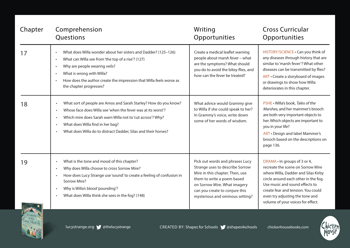| Chapter | Comprehension<br>Questions                                                                                                                                                                                                                                                                                                                               | Writing<br>Opportunities                                                                                                                                                                                                                 | <b>Cross Curricular</b><br>Opportunities                                                                                                                                                                                                                                                         |
|---------|----------------------------------------------------------------------------------------------------------------------------------------------------------------------------------------------------------------------------------------------------------------------------------------------------------------------------------------------------------|------------------------------------------------------------------------------------------------------------------------------------------------------------------------------------------------------------------------------------------|--------------------------------------------------------------------------------------------------------------------------------------------------------------------------------------------------------------------------------------------------------------------------------------------------|
| 17      | What does Willa wonder about her sisters and Dadder? (125-126)<br>$\bullet$<br>What can Willa see from 'the top of a rise'? (127)<br>$\bullet$<br>Why are people wearing veils?<br>What is wrong with Willa?<br>$\bullet$<br>How does the author create the impression that Willa feels worse as<br>the chapter progresses?                              | Create a medical leaflet warning<br>people about marsh fever - what<br>are the symptoms? What should<br>you do to avoid the bitey-flies, and<br>how can the fever be treated?                                                            | HISTORY/SCIENCE . Can you think of<br>any diseases through history that are<br>similar to 'marsh fever'? What other<br>diseases can be transmitted by flies?<br>ART • Create a storyboard of images<br>or drawings to show how Willa<br>deteriorates in this chapter.                            |
| 18      | What sort of people are Amos and Sarah Starley? How do you know?<br>$\bullet$<br>Whose face does Willa see 'when the fever was at its worst'?<br>$\bullet$<br>Which mire does Sarah warn Willa not to 'cut across'? Why?<br>$\bullet$<br>What does Willa find in her bag?<br>$\bullet$<br>What does Willa do to distract Dadder, Silas and their horses? | What advice would Grammy give<br>to Willa if she could speak to her?<br>In Grammy's voice, write down<br>some of her words of wisdom.                                                                                                    | PSHE . Willa's book, Tales of the<br>Marshes, and her mammer's brooch<br>are both very important objects to<br>her. Which objects are important to<br>you in your life?<br>ART . Design and label Mammer's<br>brooch based on the descriptions on<br>page 136.                                   |
| 19      | What is the tone and mood of this chapter?<br>$\bullet$<br>Why does Willa choose to cross Sorrow Mire?<br>$\bullet$<br>How does Lucy Strange use 'sound' to create a feeling of confusion in<br>$\bullet$<br>Sorrow Mire?<br>Why is Willa's blood 'pounding'?<br>$\bullet$<br>What does Willa think she sees in the fog? (148)<br>$\bullet$              | Pick out words and phrases Lucy<br>Strange uses to describe Sorrow<br>Mire in this chapter. Then, use<br>them to write a poem based<br>on Sorrow Mire. What imagery<br>can you create to conjure this<br>mysterious and ominous setting? | DRAMA · In groups of 3 or 4,<br>recreate the scene on Sorrow Mire<br>where Willa, Dadder and Silas Kirby<br>circle around each other in the fog.<br>Use music and sound effects to<br>create fear and tension. You could<br>even try adjusting the tone and<br>volume of your voices for effect. |



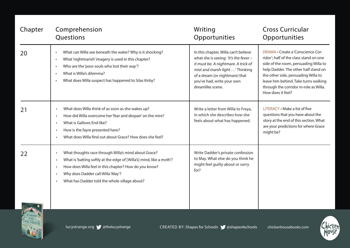| Comprehension<br>Questions                                                                                                                                                                                                                                                                                         | Writing<br>Opportunities                                                                                                                                                                                                                   | <b>Cross Curricular</b><br>Opportunities                                                                                                                                                                                                                                                                   |
|--------------------------------------------------------------------------------------------------------------------------------------------------------------------------------------------------------------------------------------------------------------------------------------------------------------------|--------------------------------------------------------------------------------------------------------------------------------------------------------------------------------------------------------------------------------------------|------------------------------------------------------------------------------------------------------------------------------------------------------------------------------------------------------------------------------------------------------------------------------------------------------------|
| What can Willa see beneath the water? Why is it shocking?<br>$\bullet$<br>What 'nightmarish' imagery is used in this chapter?<br>$\bullet$<br>Who are the 'poor souls who lost their way'?<br>What is Willa's dilemma?<br>What does Willa suspect has happened to Silas Kirby?<br>$\bullet$                        | In this chapter, Willa can't believe<br>what she is seeing: 'It's the fever -<br>it must be. A nightmare. A trick of<br>mist and marsh-light' Thinking<br>of a dream (or nightmare) that<br>you've had, write your own<br>dreamlike scene. | DRAMA • Create a 'Conscience Cor-<br>ridor'; half of the class stand on one<br>side of the room, persuading Willa to<br>help Dadder. The other half stand on<br>the other side, persuading Willa to<br>leave him behind. Take turns walking<br>through the corridor in-role as Willa.<br>How does it feel? |
| What does Willa think of as soon as she wakes up?<br>$\bullet$<br>How did Willa overcome her 'fear and despair' on the mire?<br>$\bullet$<br>What is Gallows End like?<br>$\bullet$<br>How is the fayre presented here?<br>$\bullet$<br>What does Willa find out about Grace? How does she feel?                   | Write a letter from Willa to Freya,<br>in which she describes how she<br>feels about what has happened.                                                                                                                                    | LITERACY . Make a list of five<br>questions that you have about the<br>story at the end of this section. What<br>are your predictions for where Grace<br>might be?                                                                                                                                         |
| What thoughts race through Willa's mind about Grace?<br>$\bullet$<br>What is 'batting softly at the edge of [Willa's] mind, like a moth'?<br>$\bullet$<br>How does Willa feel in this chapter? How do you know?<br>$\bullet$<br>Why does Dadder call Willa 'May'?<br>What has Dadder told the whole village about? | Write Dadder's private confession<br>to May. What else do you think he<br>might feel guilty about or sorry<br>for?                                                                                                                         |                                                                                                                                                                                                                                                                                                            |
|                                                                                                                                                                                                                                                                                                                    |                                                                                                                                                                                                                                            |                                                                                                                                                                                                                                                                                                            |



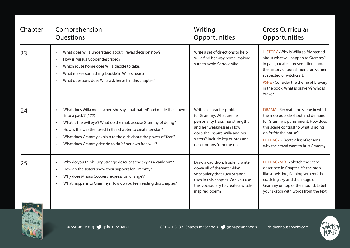| Chapter | Comprehension<br>Questions                                                                                                                                                                                                                                                                                                                                                                                                 | Writing<br>Opportunities                                                                                                                                                                                                  | <b>Cross Curricular</b><br>Opportunities                                                                                                                                                                                                                                        |
|---------|----------------------------------------------------------------------------------------------------------------------------------------------------------------------------------------------------------------------------------------------------------------------------------------------------------------------------------------------------------------------------------------------------------------------------|---------------------------------------------------------------------------------------------------------------------------------------------------------------------------------------------------------------------------|---------------------------------------------------------------------------------------------------------------------------------------------------------------------------------------------------------------------------------------------------------------------------------|
| 23      | What does Willa understand about Freya's decision now?<br>$\bullet$<br>How is Missus Cooper described?<br>$\bullet$<br>Which route home does Willa decide to take?<br>$\bullet$<br>What makes something 'buckle' in Willa's heart?<br>$\bullet$<br>What questions does Willa ask herself in this chapter?                                                                                                                  | Write a set of directions to help<br>Willa find her way home, making<br>sure to avoid Sorrow Mire.                                                                                                                        | HISTORY . Why is Willa so frightened<br>about what will happen to Grammy?<br>In pairs, create a presentation about<br>the history of punishment for women<br>suspected of witchcraft.<br>PSHE . Consider the theme of bravery<br>in the book. What is bravery? Who is<br>brave? |
| 24      | What does Willa mean when she says that 'hatred' had made the crowd<br>$\bullet$<br>'into a pack'? (177)<br>What is the 'evil eye'? What do the mob accuse Grammy of doing?<br>$\bullet$<br>How is the weather used in this chapter to create tension?<br>$\bullet$<br>What does Grammy explain to the girls about the power of 'fear'?<br>$\bullet$<br>What does Grammy decide to do 'of her own free will'?<br>$\bullet$ | Write a character profile<br>for Grammy. What are her<br>personality traits, her strengths<br>and her weaknesses? How<br>does she inspire Willa and her<br>sisters? Include key quotes and<br>descriptions from the text. | DRAMA • Recreate the scene in which<br>the mob outside shout and demand<br>for Grammy's punishment. How does<br>this scene contrast to what is going<br>on inside the house?<br>LITERACY . Create a list of reasons<br>why the crowd want to hurt Grammy.                       |
| 25      | Why do you think Lucy Strange describes the sky as a 'cauldron'?<br>$\bullet$<br>How do the sisters show their support for Grammy?<br>$\bullet$<br>Why does Missus Cooper's expression 'change'?<br>$\bullet$<br>What happens to Grammy? How do you feel reading this chapter?<br>$\bullet$                                                                                                                                | Draw a cauldron. Inside it, write<br>down all of the 'witch-like'<br>vocabulary that Lucy Strange<br>uses in this chapter. Can you use<br>this vocabulary to create a witch-<br>inspired poem?                            | LITERACY/ART • Sketch the scene<br>described in Chapter 25: the mob<br>like a 'twisting, flaming serpent', the<br>crackling sky and the image of<br>Grammy on top of the mound. Label<br>your sketch with words from the text.                                                  |



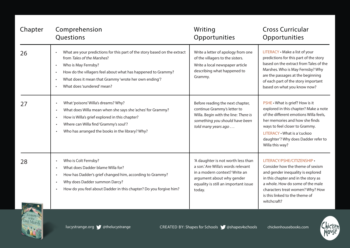| Chapter | Comprehension<br>Questions                                                                                                                                                                                                                                                                                                                             | Writing<br>Opportunities                                                                                                                                                                 | <b>Cross Curricular</b><br>Opportunities                                                                                                                                                                                                                                         |
|---------|--------------------------------------------------------------------------------------------------------------------------------------------------------------------------------------------------------------------------------------------------------------------------------------------------------------------------------------------------------|------------------------------------------------------------------------------------------------------------------------------------------------------------------------------------------|----------------------------------------------------------------------------------------------------------------------------------------------------------------------------------------------------------------------------------------------------------------------------------|
| 26      | What are your predictions for this part of the story based on the extract<br>$\bullet$<br>from Tales of the Marshes?<br>Who is May Fernsby?<br>$\bullet$<br>How do the villagers feel about what has happened to Grammy?<br>$\bullet$<br>What does it mean that Grammy 'wrote her own ending'?<br>$\bullet$<br>What does 'sundered' mean?<br>$\bullet$ | Write a letter of apology from one<br>of the villagers to the sisters.<br>Write a local newspaper article<br>describing what happened to<br>Grammy.                                      | LITERACY . Make a list of your<br>predictions for this part of the story<br>based on the extract from Tales of the<br>Marshes. Who is May Fernsby? Why<br>are the passages at the beginning<br>of each part of the story important<br>based on what you know now?                |
| 27      | What 'poisons' Willa's dreams? Why?<br>$\bullet$<br>What does Willa mean when she says she 'aches' for Grammy?<br>$\bullet$<br>How is Willa's grief explored in this chapter?<br>$\bullet$<br>Where can Willa find 'Grammy's soul'?<br>$\bullet$<br>Who has arranged the books in the library? Why?<br>$\bullet$                                       | Before reading the next chapter,<br>continue Grammy's letter to<br>Willa. Begin with the line: There is<br>something you should have been<br>told many years ago                         | PSHE . What is grief? How is it<br>explored in this chapter? Make a note<br>of the different emotions Willa feels,<br>her memories and how she finds<br>ways to feel closer to Grammy.<br>LITERACY • What is a 'cuckoo<br>daughter'? Why does Dadder refer to<br>Willa this way? |
| 28      | Who is Colt Fernsby?<br>$\bullet$<br>What does Dadder blame Willa for?<br>$\bullet$<br>How has Dadder's grief changed him, according to Grammy?<br>$\bullet$<br>Why does Dadder summon Darcy?<br>$\bullet$<br>How do you feel about Dadder in this chapter? Do you forgive him?<br>$\bullet$                                                           | 'A daughter is not worth less than<br>a son.' Are Willa's words relevant<br>in a modern context? Write an<br>argument about why gender<br>equality is still an important issue<br>today. | LITERACY/PSHE/CITIZENSHIP •<br>Consider how the theme of sexism<br>and gender inequality is explored<br>in this chapter and in the story as<br>a whole. How do some of the male<br>characters treat women? Why? How<br>is this linked to the theme of<br>witchcraft?             |



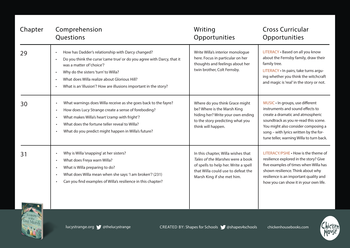| Chapter | Comprehension<br>Questions                                                                                                                                                                                                                                                                                                                                 | Writing<br>Opportunities                                                                                                                                                           | <b>Cross Curricular</b><br>Opportunities                                                                                                                                                                                                                                        |
|---------|------------------------------------------------------------------------------------------------------------------------------------------------------------------------------------------------------------------------------------------------------------------------------------------------------------------------------------------------------------|------------------------------------------------------------------------------------------------------------------------------------------------------------------------------------|---------------------------------------------------------------------------------------------------------------------------------------------------------------------------------------------------------------------------------------------------------------------------------|
| 29      | How has Dadder's relationship with Darcy changed?<br>$\bullet$<br>Do you think the curse 'came true' or do you agree with Darcy, that it<br>was a matter of 'choice'?<br>Why do the sisters 'turn' to Willa?<br>$\bullet$<br>What does Willa realize about Glorious Hill?<br>$\bullet$<br>What is an 'illusion'? How are illusions important in the story? | Write Willa's interior monologue<br>here. Focus in particular on her<br>thoughts and feelings about her<br>twin brother, Colt Fernsby.                                             | LITERACY . Based on all you know<br>about the Fernsby family, draw their<br>family tree.<br>LITERACY . In pairs, take turns argu-<br>ing whether you think the witchcraft<br>and magic is 'real' in the story or not.                                                           |
| 30      | What warnings does Willa receive as she goes back to the fayre?<br>$\bullet$<br>How does Lucy Strange create a sense of foreboding?<br>$\bullet$<br>What makes Willa's heart 'cramp with fright'?<br>$\bullet$<br>What does the fortune teller reveal to Willa?<br>$\bullet$<br>What do you predict might happen in Willa's future?<br>$\bullet$           | Where do you think Grace might<br>be? Where is the Marsh King<br>hiding her? Write your own ending<br>to the story predicting what you<br>think will happen.                       | MUSIC · In groups, use different<br>instruments and sound effects to<br>create a dramatic and atmospheric<br>soundtrack as you re-read this scene.<br>You might also consider composing a<br>song - with lyrics written by the for-<br>tune teller, warning Willa to turn back. |
| 31      | Why is Willa 'snapping' at her sisters?<br>$\bullet$<br>What does Freya warn Willa?<br>$\bullet$<br>What is Willa preparing to do?<br>$\bullet$<br>What does Willa mean when she says: 'I am broken'? (231)<br>$\bullet$<br>Can you find examples of Willa's resilience in this chapter?<br>$\bullet$                                                      | In this chapter, Willa wishes that<br>Tales of the Marshes were a book<br>of spells to help her. Write a spell<br>that Willa could use to defeat the<br>Marsh King if she met him. | LITERACY/PSHE . How is the theme of<br>resilience explored in the story? Give<br>five examples of times when Willa has<br>shown resilience. Think about why<br>resilience is an important quality and<br>how you can show it in your own life.                                  |



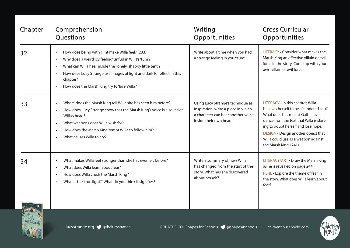| Chapter | Comprehension<br>Questions                                                                                                                                                                                                                                                                                                                                           | Writing<br>Opportunities                                                                                                                 | <b>Cross Curricular</b><br>Opportunities                                                                                                                                                                                                                                                                     |
|---------|----------------------------------------------------------------------------------------------------------------------------------------------------------------------------------------------------------------------------------------------------------------------------------------------------------------------------------------------------------------------|------------------------------------------------------------------------------------------------------------------------------------------|--------------------------------------------------------------------------------------------------------------------------------------------------------------------------------------------------------------------------------------------------------------------------------------------------------------|
| 32      | How does being with Flint make Willa feel? (233)<br>$\bullet$<br>Why does 'a weird icy feeling' unfurl in Willa's 'tum'?<br>$\bullet$<br>What can Willa hear inside the 'lonely, shabby little tent'?<br>$\bullet$<br>How does Lucy Strange use images of light and dark for effect in this<br>$\bullet$<br>chapter?<br>How does the Marsh King try to 'lure' Willa? | Write about a time when you had<br>a strange feeling in your 'tum'.                                                                      | LITERACY . Consider what makes the<br>Marsh King an effective villain or evil<br>force in the story. Come up with your<br>own villain or evil force.                                                                                                                                                         |
| 33      | Where does the Marsh King tell Willa she has seen him before?<br>$\bullet$<br>How does Lucy Strange show that the Marsh King's voice is also inside<br>Willa's head?<br>What weapons does Willa wish for?<br>$\bullet$<br>How does the Marsh King tempt Willa to follow him?<br>$\bullet$<br>What causes Willa to cry?<br>$\bullet$                                  | Using Lucy Strange's technique as<br>inspiration, write a piece in which<br>a character can hear another voice<br>inside their own head. | LITERACY . In this chapter, Willa<br>believes herself to be a 'sundered soul'.<br>What does this mean? Gather evi-<br>dence from the text that Willa is start-<br>ing to doubt herself and lose hope.<br>DESIGN . Design another object that<br>Willa could use as a weapon against<br>the Marsh King. (241) |
| 34      | What makes Willa feel stronger than she has ever felt before?<br>$\bullet$<br>What does Willa learn about fear?<br>$\bullet$<br>How does Willa crush the Marsh King?<br>$\bullet$<br>What is the 'true light'? What do you think it signifies?<br>$\bullet$                                                                                                          | Write a summary of how Willa<br>has changed from the start of the<br>story. What has she discovered<br>about herself?                    | LITERACY/ART . Draw the Marsh King<br>as he is revealed on page 244.<br>PSHE . Explore the theme of fear in<br>the story. What does Willa learn about<br>fear?                                                                                                                                               |